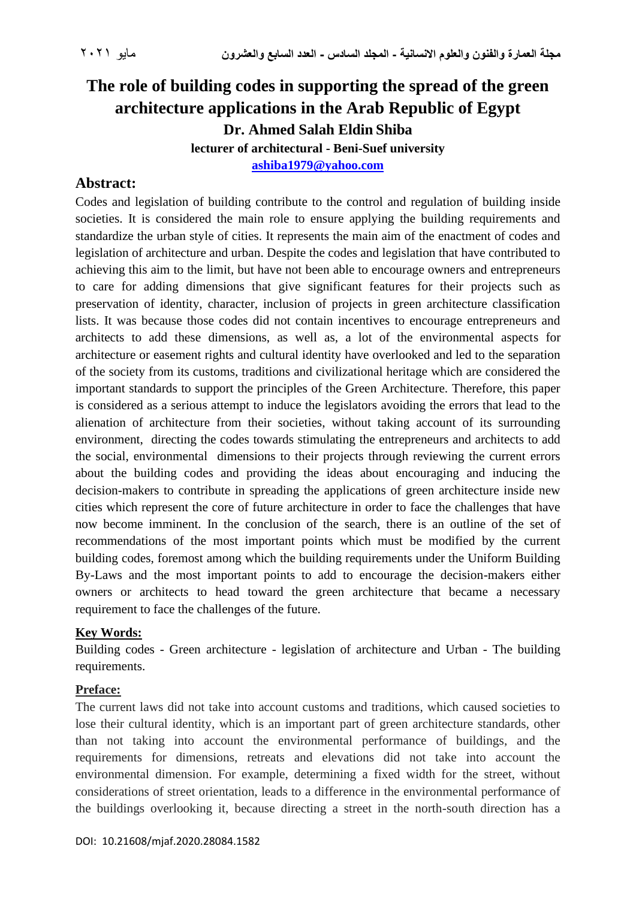# **The role of building codes in supporting the spread of the green architecture applications in the Arab Republic of Egypt Dr. Ahmed Salah Eldin Shiba lecturer of architectural - Beni-Suef university**

**[ashiba1979@yahoo.com](mailto:ashiba1979@yahoo.com)**

## **Abstract:**

Codes and legislation of building contribute to the control and regulation of building inside societies. It is considered the main role to ensure applying the building requirements and standardize the urban style of cities. It represents the main aim of the enactment of codes and legislation of architecture and urban. Despite the codes and legislation that have contributed to achieving this aim to the limit, but have not been able to encourage owners and entrepreneurs to care for adding dimensions that give significant features for their projects such as preservation of identity, character, inclusion of projects in green architecture classification lists. It was because those codes did not contain incentives to encourage entrepreneurs and architects to add these dimensions, as well as, a lot of the environmental aspects for architecture or easement rights and cultural identity have overlooked and led to the separation of the society from its customs, traditions and civilizational heritage which are considered the important standards to support the principles of the Green Architecture. Therefore, this paper is considered as a serious attempt to induce the legislators avoiding the errors that lead to the alienation of architecture from their societies, without taking account of its surrounding environment, directing the codes towards stimulating the entrepreneurs and architects to add the social, environmental dimensions to their projects through reviewing the current errors about the building codes and providing the ideas about encouraging and inducing the decision-makers to contribute in spreading the applications of green architecture inside new cities which represent the core of future architecture in order to face the challenges that have now become imminent. In the conclusion of the search, there is an outline of the set of recommendations of the most important points which must be modified by the current building codes, foremost among which the building requirements under the Uniform Building By-Laws and the most important points to add to encourage the decision-makers either owners or architects to head toward the green architecture that became a necessary requirement to face the challenges of the future.

#### **Key Words:**

Building codes - Green architecture - legislation of architecture and Urban - The building requirements.

#### **Preface:**

The current laws did not take into account customs and traditions, which caused societies to lose their cultural identity, which is an important part of green architecture standards, other than not taking into account the environmental performance of buildings, and the requirements for dimensions, retreats and elevations did not take into account the environmental dimension. For example, determining a fixed width for the street, without considerations of street orientation, leads to a difference in the environmental performance of the buildings overlooking it, because directing a street in the north-south direction has a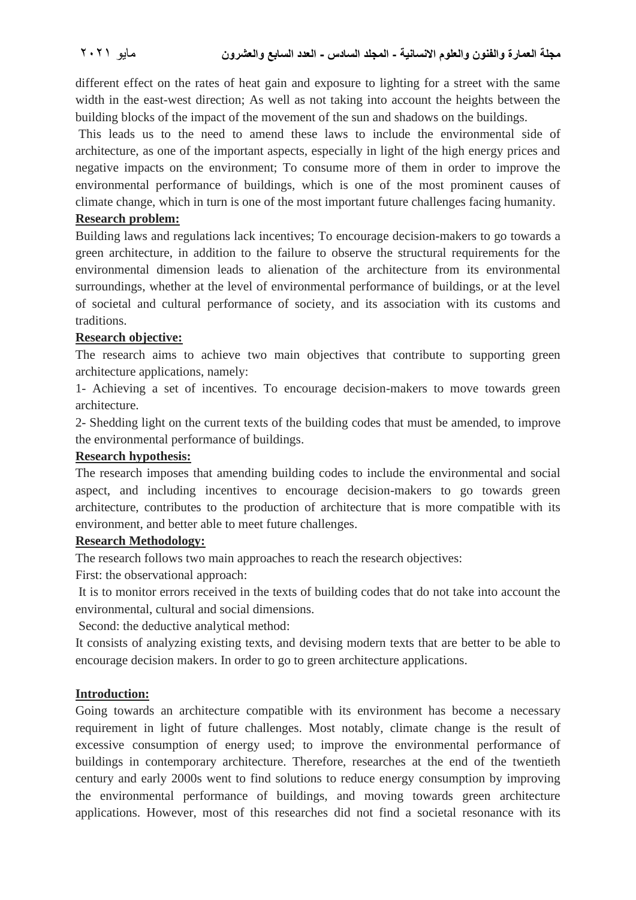different effect on the rates of heat gain and exposure to lighting for a street with the same width in the east-west direction; As well as not taking into account the heights between the building blocks of the impact of the movement of the sun and shadows on the buildings.

This leads us to the need to amend these laws to include the environmental side of architecture, as one of the important aspects, especially in light of the high energy prices and negative impacts on the environment; To consume more of them in order to improve the environmental performance of buildings, which is one of the most prominent causes of climate change, which in turn is one of the most important future challenges facing humanity.

#### **Research problem:**

Building laws and regulations lack incentives; To encourage decision-makers to go towards a green architecture, in addition to the failure to observe the structural requirements for the environmental dimension leads to alienation of the architecture from its environmental surroundings, whether at the level of environmental performance of buildings, or at the level of societal and cultural performance of society, and its association with its customs and traditions.

#### **Research objective:**

The research aims to achieve two main objectives that contribute to supporting green architecture applications, namely:

1- Achieving a set of incentives. To encourage decision-makers to move towards green architecture.

2- Shedding light on the current texts of the building codes that must be amended, to improve the environmental performance of buildings.

#### **Research hypothesis:**

The research imposes that amending building codes to include the environmental and social aspect, and including incentives to encourage decision-makers to go towards green architecture, contributes to the production of architecture that is more compatible with its environment, and better able to meet future challenges.

#### **Research Methodology:**

The research follows two main approaches to reach the research objectives:

First: the observational approach:

It is to monitor errors received in the texts of building codes that do not take into account the environmental, cultural and social dimensions.

Second: the deductive analytical method:

It consists of analyzing existing texts, and devising modern texts that are better to be able to encourage decision makers. In order to go to green architecture applications.

#### **Introduction:**

Going towards an architecture compatible with its environment has become a necessary requirement in light of future challenges. Most notably, climate change is the result of excessive consumption of energy used; to improve the environmental performance of buildings in contemporary architecture. Therefore, researches at the end of the twentieth century and early 2000s went to find solutions to reduce energy consumption by improving the environmental performance of buildings, and moving towards green architecture applications. However, most of this researches did not find a societal resonance with its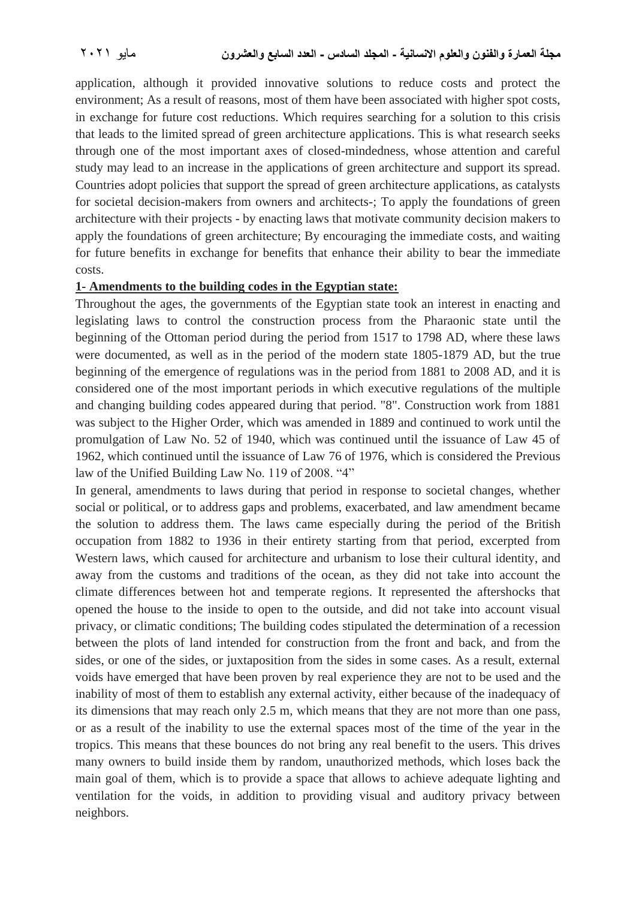application, although it provided innovative solutions to reduce costs and protect the environment; As a result of reasons, most of them have been associated with higher spot costs, in exchange for future cost reductions. Which requires searching for a solution to this crisis that leads to the limited spread of green architecture applications. This is what research seeks through one of the most important axes of closed-mindedness, whose attention and careful study may lead to an increase in the applications of green architecture and support its spread. Countries adopt policies that support the spread of green architecture applications, as catalysts for societal decision-makers from owners and architects-; To apply the foundations of green architecture with their projects - by enacting laws that motivate community decision makers to apply the foundations of green architecture; By encouraging the immediate costs, and waiting for future benefits in exchange for benefits that enhance their ability to bear the immediate costs.

#### **1- Amendments to the building codes in the Egyptian state:**

Throughout the ages, the governments of the Egyptian state took an interest in enacting and legislating laws to control the construction process from the Pharaonic state until the beginning of the Ottoman period during the period from 1517 to 1798 AD, where these laws were documented, as well as in the period of the modern state 1805-1879 AD, but the true beginning of the emergence of regulations was in the period from 1881 to 2008 AD, and it is considered one of the most important periods in which executive regulations of the multiple and changing building codes appeared during that period. "8". Construction work from 1881 was subject to the Higher Order, which was amended in 1889 and continued to work until the promulgation of Law No. 52 of 1940, which was continued until the issuance of Law 45 of 1962, which continued until the issuance of Law 76 of 1976, which is considered the Previous law of the Unified Building Law No. 119 of 2008. "4"

In general, amendments to laws during that period in response to societal changes, whether social or political, or to address gaps and problems, exacerbated, and law amendment became the solution to address them. The laws came especially during the period of the British occupation from 1882 to 1936 in their entirety starting from that period, excerpted from Western laws, which caused for architecture and urbanism to lose their cultural identity, and away from the customs and traditions of the ocean, as they did not take into account the climate differences between hot and temperate regions. It represented the aftershocks that opened the house to the inside to open to the outside, and did not take into account visual privacy, or climatic conditions; The building codes stipulated the determination of a recession between the plots of land intended for construction from the front and back, and from the sides, or one of the sides, or juxtaposition from the sides in some cases. As a result, external voids have emerged that have been proven by real experience they are not to be used and the inability of most of them to establish any external activity, either because of the inadequacy of its dimensions that may reach only 2.5 m, which means that they are not more than one pass, or as a result of the inability to use the external spaces most of the time of the year in the tropics. This means that these bounces do not bring any real benefit to the users. This drives many owners to build inside them by random, unauthorized methods, which loses back the main goal of them, which is to provide a space that allows to achieve adequate lighting and ventilation for the voids, in addition to providing visual and auditory privacy between neighbors.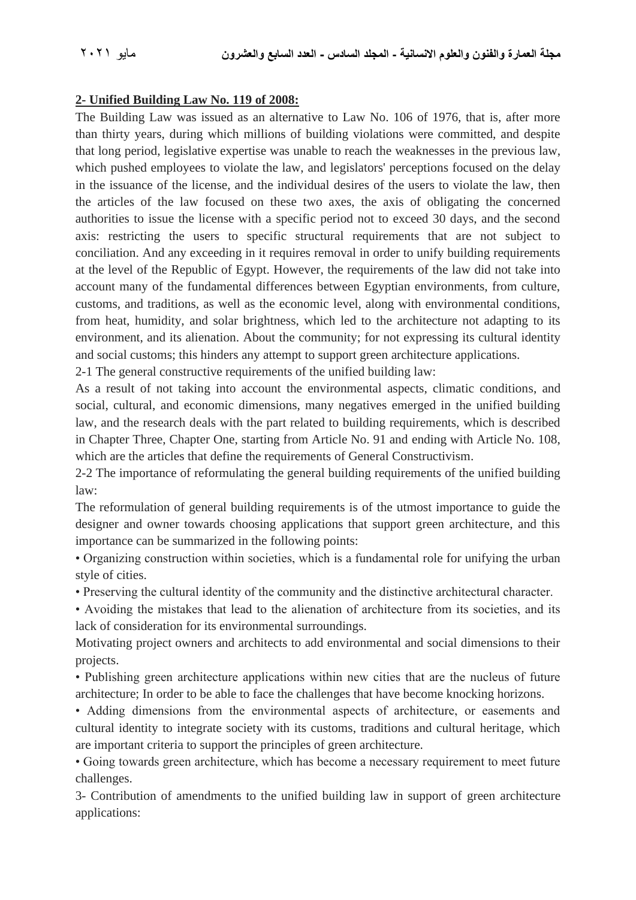### **2- Unified Building Law No. 119 of 2008:**

The Building Law was issued as an alternative to Law No. 106 of 1976, that is, after more than thirty years, during which millions of building violations were committed, and despite that long period, legislative expertise was unable to reach the weaknesses in the previous law, which pushed employees to violate the law, and legislators' perceptions focused on the delay in the issuance of the license, and the individual desires of the users to violate the law, then the articles of the law focused on these two axes, the axis of obligating the concerned authorities to issue the license with a specific period not to exceed 30 days, and the second axis: restricting the users to specific structural requirements that are not subject to conciliation. And any exceeding in it requires removal in order to unify building requirements at the level of the Republic of Egypt. However, the requirements of the law did not take into account many of the fundamental differences between Egyptian environments, from culture, customs, and traditions, as well as the economic level, along with environmental conditions, from heat, humidity, and solar brightness, which led to the architecture not adapting to its environment, and its alienation. About the community; for not expressing its cultural identity and social customs; this hinders any attempt to support green architecture applications.

2-1 The general constructive requirements of the unified building law:

As a result of not taking into account the environmental aspects, climatic conditions, and social, cultural, and economic dimensions, many negatives emerged in the unified building law, and the research deals with the part related to building requirements, which is described in Chapter Three, Chapter One, starting from Article No. 91 and ending with Article No. 108, which are the articles that define the requirements of General Constructivism.

2-2 The importance of reformulating the general building requirements of the unified building law:

The reformulation of general building requirements is of the utmost importance to guide the designer and owner towards choosing applications that support green architecture, and this importance can be summarized in the following points:

• Organizing construction within societies, which is a fundamental role for unifying the urban style of cities.

• Preserving the cultural identity of the community and the distinctive architectural character.

• Avoiding the mistakes that lead to the alienation of architecture from its societies, and its lack of consideration for its environmental surroundings.

Motivating project owners and architects to add environmental and social dimensions to their projects.

• Publishing green architecture applications within new cities that are the nucleus of future architecture; In order to be able to face the challenges that have become knocking horizons.

• Adding dimensions from the environmental aspects of architecture, or easements and cultural identity to integrate society with its customs, traditions and cultural heritage, which are important criteria to support the principles of green architecture.

• Going towards green architecture, which has become a necessary requirement to meet future challenges.

3- Contribution of amendments to the unified building law in support of green architecture applications: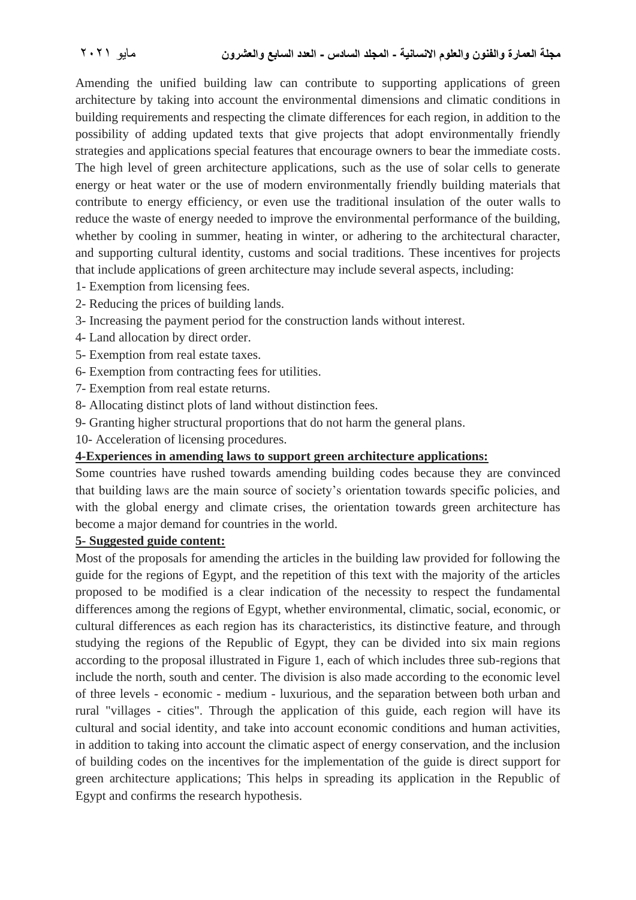Amending the unified building law can contribute to supporting applications of green architecture by taking into account the environmental dimensions and climatic conditions in building requirements and respecting the climate differences for each region, in addition to the possibility of adding updated texts that give projects that adopt environmentally friendly strategies and applications special features that encourage owners to bear the immediate costs. The high level of green architecture applications, such as the use of solar cells to generate energy or heat water or the use of modern environmentally friendly building materials that contribute to energy efficiency, or even use the traditional insulation of the outer walls to reduce the waste of energy needed to improve the environmental performance of the building, whether by cooling in summer, heating in winter, or adhering to the architectural character, and supporting cultural identity, customs and social traditions. These incentives for projects that include applications of green architecture may include several aspects, including:

- 1- Exemption from licensing fees.
- 2- Reducing the prices of building lands.
- 3- Increasing the payment period for the construction lands without interest.
- 4- Land allocation by direct order.
- 5- Exemption from real estate taxes.
- 6- Exemption from contracting fees for utilities.
- 7- Exemption from real estate returns.
- 8- Allocating distinct plots of land without distinction fees.
- 9- Granting higher structural proportions that do not harm the general plans.
- 10- Acceleration of licensing procedures.

#### **4-Experiences in amending laws to support green architecture applications:**

Some countries have rushed towards amending building codes because they are convinced that building laws are the main source of society's orientation towards specific policies, and with the global energy and climate crises, the orientation towards green architecture has become a major demand for countries in the world.

#### **5- Suggested guide content:**

Most of the proposals for amending the articles in the building law provided for following the guide for the regions of Egypt, and the repetition of this text with the majority of the articles proposed to be modified is a clear indication of the necessity to respect the fundamental differences among the regions of Egypt, whether environmental, climatic, social, economic, or cultural differences as each region has its characteristics, its distinctive feature, and through studying the regions of the Republic of Egypt, they can be divided into six main regions according to the proposal illustrated in Figure 1, each of which includes three sub-regions that include the north, south and center. The division is also made according to the economic level of three levels - economic - medium - luxurious, and the separation between both urban and rural "villages - cities". Through the application of this guide, each region will have its cultural and social identity, and take into account economic conditions and human activities, in addition to taking into account the climatic aspect of energy conservation, and the inclusion of building codes on the incentives for the implementation of the guide is direct support for green architecture applications; This helps in spreading its application in the Republic of Egypt and confirms the research hypothesis.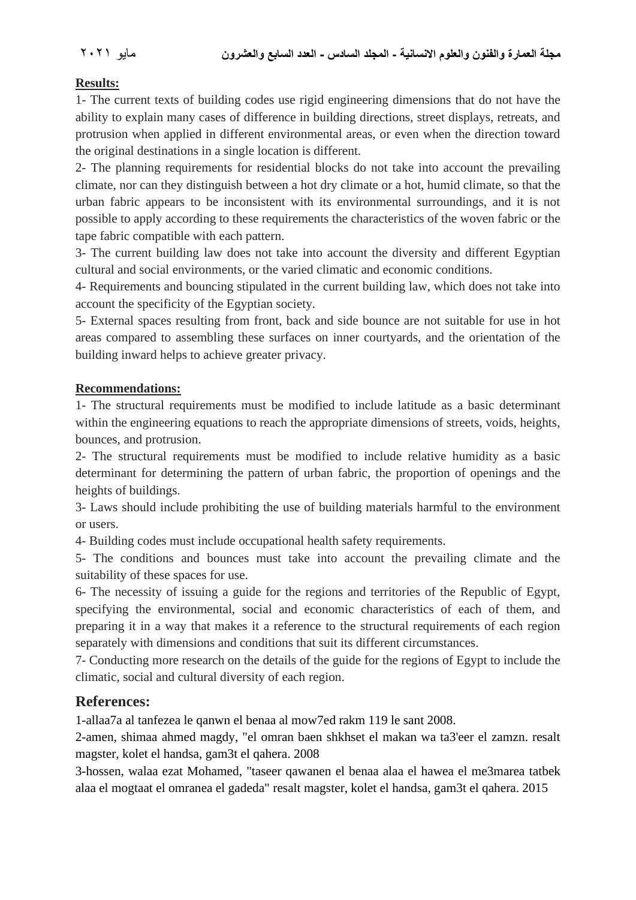### **مجلة العمارة والفنون والعلوم االنسانية - المجلد السادس - العدد السابع والعشرون** مايو 2021

### **Results:**

1- The current texts of building codes use rigid engineering dimensions that do not have the ability to explain many cases of difference in building directions, street displays, retreats, and protrusion when applied in different environmental areas, or even when the direction toward the original destinations in a single location is different.

2- The planning requirements for residential blocks do not take into account the prevailing climate, nor can they distinguish between a hot dry climate or a hot, humid climate, so that the urban fabric appears to be inconsistent with its environmental surroundings, and it is not possible to apply according to these requirements the characteristics of the woven fabric or the tape fabric compatible with each pattern.

3- The current building law does not take into account the diversity and different Egyptian cultural and social environments, or the varied climatic and economic conditions.

4- Requirements and bouncing stipulated in the current building law, which does not take into account the specificity of the Egyptian society.

5- External spaces resulting from front, back and side bounce are not suitable for use in hot areas compared to assembling these surfaces on inner courtyards, and the orientation of the building inward helps to achieve greater privacy.

### **Recommendations:**

1- The structural requirements must be modified to include latitude as a basic determinant within the engineering equations to reach the appropriate dimensions of streets, voids, heights, bounces, and protrusion.

2- The structural requirements must be modified to include relative humidity as a basic determinant for determining the pattern of urban fabric, the proportion of openings and the heights of buildings.

3- Laws should include prohibiting the use of building materials harmful to the environment or users.

4- Building codes must include occupational health safety requirements.

5- The conditions and bounces must take into account the prevailing climate and the suitability of these spaces for use.

6- The necessity of issuing a guide for the regions and territories of the Republic of Egypt, specifying the environmental, social and economic characteristics of each of them, and preparing it in a way that makes it a reference to the structural requirements of each region separately with dimensions and conditions that suit its different circumstances.

7- Conducting more research on the details of the guide for the regions of Egypt to include the climatic, social and cultural diversity of each region.

## **References:**

1-allaa7a al tanfezea le qanwn el benaa al mow7ed rakm 119 le sant 2008.

2-amen, shimaa ahmed magdy, "el omran baen shkhset el makan wa ta3'eer el zamzn. resalt magster, kolet el handsa, gam3t el qahera. 2008

3-hossen, walaa ezat Mohamed, "taseer qawanen el benaa alaa el hawea el me3marea tatbek alaa el mogtaat el omranea el gadeda" resalt magster, kolet el handsa, gam3t el qahera. 2015